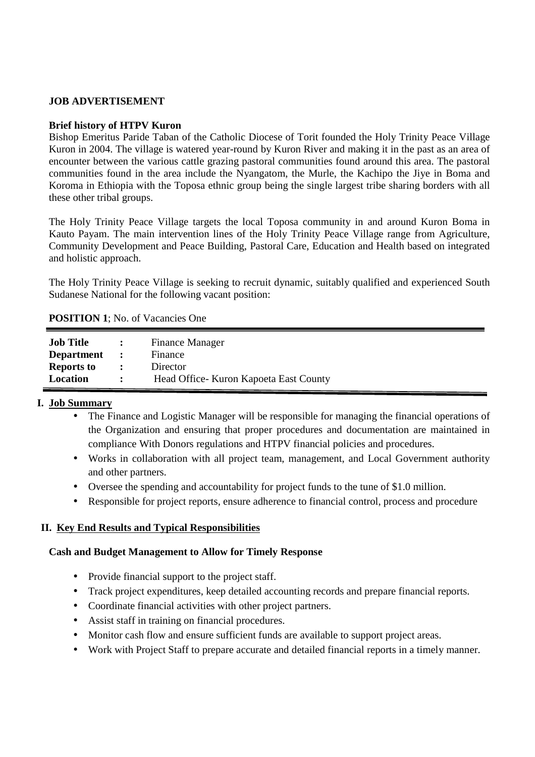### **JOB ADVERTISEMENT**

#### **Brief history of HTPV Kuron**

Bishop Emeritus Paride Taban of the Catholic Diocese of Torit founded the Holy Trinity Peace Village Kuron in 2004. The village is watered year-round by Kuron River and making it in the past as an area of encounter between the various cattle grazing pastoral communities found around this area. The pastoral communities found in the area include the Nyangatom, the Murle, the Kachipo the Jiye in Boma and Koroma in Ethiopia with the Toposa ethnic group being the single largest tribe sharing borders with all these other tribal groups.

The Holy Trinity Peace Village targets the local Toposa community in and around Kuron Boma in Kauto Payam. The main intervention lines of the Holy Trinity Peace Village range from Agriculture, Community Development and Peace Building, Pastoral Care, Education and Health based on integrated and holistic approach.

The Holy Trinity Peace Village is seeking to recruit dynamic, suitably qualified and experienced South Sudanese National for the following vacant position:

| <b>POSITION 1; No. of Vacancies One</b> |  |
|-----------------------------------------|--|
|                                         |  |

| <b>Job Title</b>  |                | <b>Finance Manager</b>                  |
|-------------------|----------------|-----------------------------------------|
| <b>Department</b> | $\mathbf{r}$   | Finance                                 |
| <b>Reports to</b> | $\ddot{\cdot}$ | Director                                |
| Location          |                | Head Office - Kuron Kapoeta East County |

# **I. Job Summary**

- The Finance and Logistic Manager will be responsible for managing the financial operations of the Organization and ensuring that proper procedures and documentation are maintained in compliance With Donors regulations and HTPV financial policies and procedures.
- Works in collaboration with all project team, management, and Local Government authority and other partners.
- Oversee the spending and accountability for project funds to the tune of \$1.0 million.
- Responsible for project reports, ensure adherence to financial control, process and procedure

# **II. Key End Results and Typical Responsibilities**

### **Cash and Budget Management to Allow for Timely Response**

- Provide financial support to the project staff.
- Track project expenditures, keep detailed accounting records and prepare financial reports.
- Coordinate financial activities with other project partners.
- Assist staff in training on financial procedures.
- Monitor cash flow and ensure sufficient funds are available to support project areas.
- Work with Project Staff to prepare accurate and detailed financial reports in a timely manner.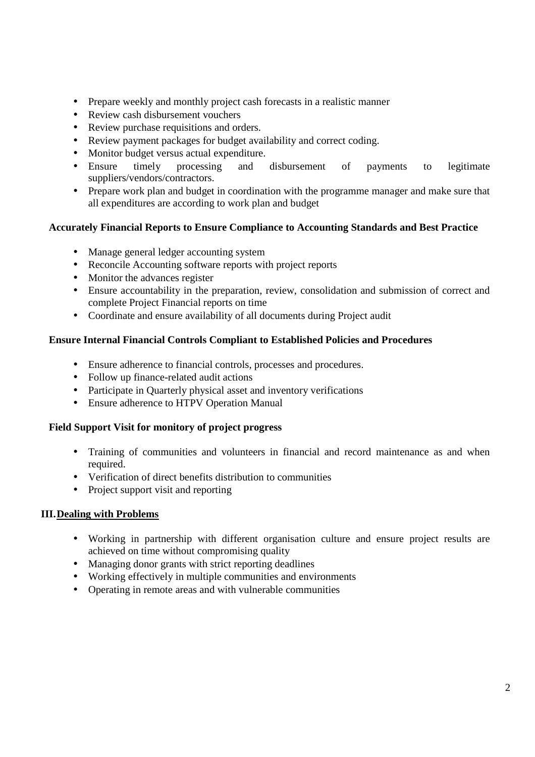- Prepare weekly and monthly project cash forecasts in a realistic manner
- Review cash disbursement vouchers
- Review purchase requisitions and orders.
- Review payment packages for budget availability and correct coding.
- Monitor budget versus actual expenditure.
- Ensure timely processing and disbursement of payments to legitimate suppliers/vendors/contractors.
- Prepare work plan and budget in coordination with the programme manager and make sure that all expenditures are according to work plan and budget

## **Accurately Financial Reports to Ensure Compliance to Accounting Standards and Best Practice**

- Manage general ledger accounting system
- Reconcile Accounting software reports with project reports
- Monitor the advances register
- Ensure accountability in the preparation, review, consolidation and submission of correct and complete Project Financial reports on time
- Coordinate and ensure availability of all documents during Project audit

### **Ensure Internal Financial Controls Compliant to Established Policies and Procedures**

- Ensure adherence to financial controls, processes and procedures.
- Follow up finance-related audit actions
- Participate in Quarterly physical asset and inventory verifications
- Ensure adherence to HTPV Operation Manual

### **Field Support Visit for monitory of project progress**

- Training of communities and volunteers in financial and record maintenance as and when required.
- Verification of direct benefits distribution to communities
- Project support visit and reporting

### **III.Dealing with Problems**

- Working in partnership with different organisation culture and ensure project results are achieved on time without compromising quality
- Managing donor grants with strict reporting deadlines
- Working effectively in multiple communities and environments
- Operating in remote areas and with vulnerable communities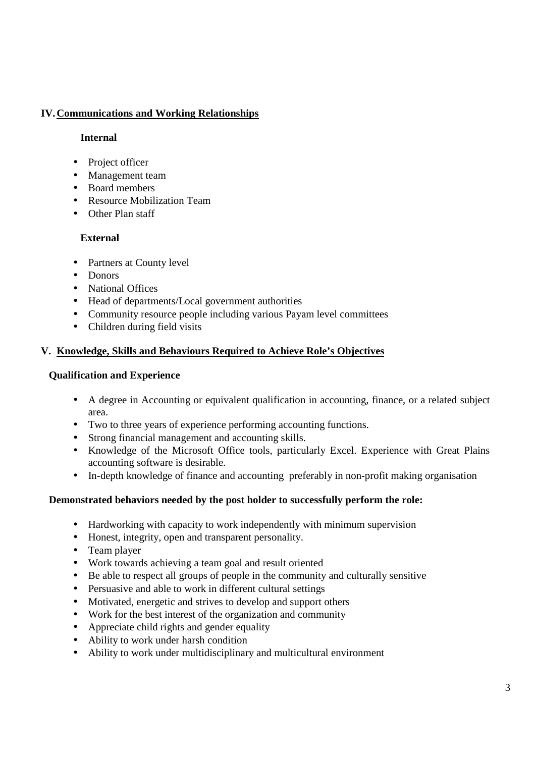# **IV.Communications and Working Relationships**

## **Internal**

- Project officer
- Management team
- Board members
- Resource Mobilization Team
- Other Plan staff

# **External**

- Partners at County level
- Donors
- National Offices
- Head of departments/Local government authorities
- Community resource people including various Payam level committees
- Children during field visits

# **V. Knowledge, Skills and Behaviours Required to Achieve Role's Objectives**

# **Qualification and Experience**

- A degree in Accounting or equivalent qualification in accounting, finance, or a related subject area.
- Two to three years of experience performing accounting functions.
- Strong financial management and accounting skills.
- Knowledge of the Microsoft Office tools, particularly Excel. Experience with Great Plains accounting software is desirable.
- In-depth knowledge of finance and accounting preferably in non-profit making organisation

# **Demonstrated behaviors needed by the post holder to successfully perform the role:**

- Hardworking with capacity to work independently with minimum supervision
- Honest, integrity, open and transparent personality.
- Team player
- Work towards achieving a team goal and result oriented
- Be able to respect all groups of people in the community and culturally sensitive
- Persuasive and able to work in different cultural settings
- Motivated, energetic and strives to develop and support others
- Work for the best interest of the organization and community
- Appreciate child rights and gender equality
- Ability to work under harsh condition
- Ability to work under multidisciplinary and multicultural environment